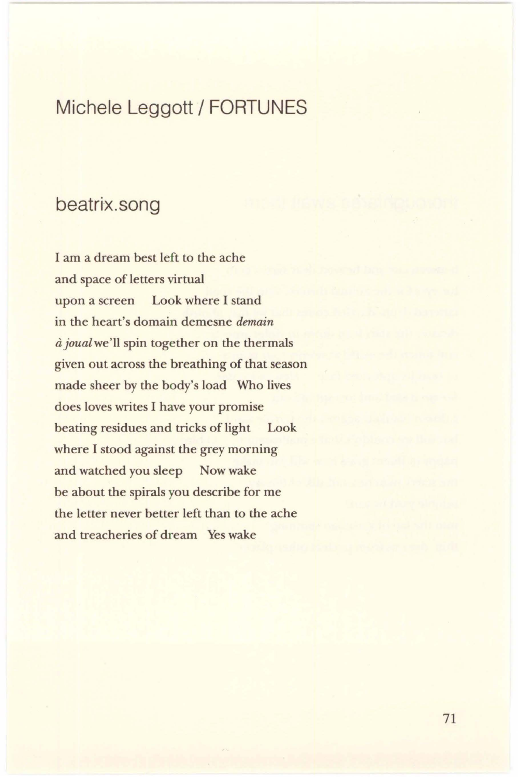# Michele Leggott / FORTUNES

#### beatrix.song

I am a dream best left to the ache and space of letters virtual upon a screen Look where I stand in the heart's domain demesne *demain*  a *joualwe'll* spin together on the thermals given out across the breathing of that season made sheer by the body's load Who lives does loves writes I have your promise beating residues and tricks of light Look where I stood against the grey morning and watched you sleep Now wake be about the spirals you describe for me the letter never better left than to the ache and treacheries of dream Yes wake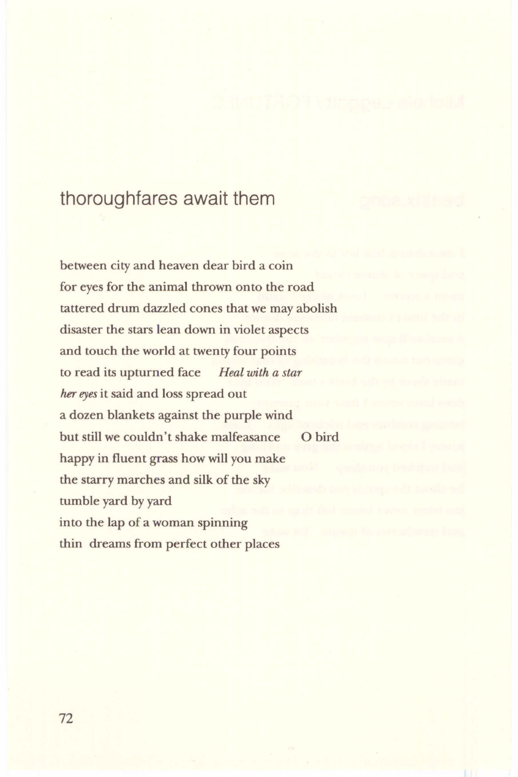#### thoroughfares await them

between city and heaven dear bird a coin for eyes for the animal thrown onto the road tattered drum dazzled cones that we may abolish disaster the stars lean down in violet aspects and touch the world at twenty four points to read its upturned face *Heal with a star her eyes* it said and loss spread out a dozen blankets against the purple wind but still we couldn't shake malfeasance happy in fluent grass how will you make the starry marches and silk of the sky tumble yard by yard into the lap of a woman spinning thin dreams from perfect other places Obird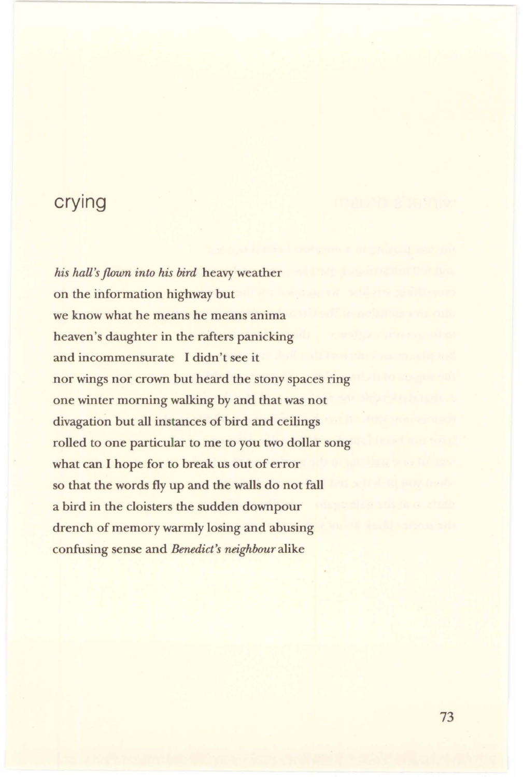### **crying**

*his hall's flown into his bird* heavy weather on the information highway but we know what he means he means anima heaven's daughter in the rafters panicking and incommensurate I didn't see it nor wings nor crown but heard the stony spaces ring one winter morning walking by and that was not divagation but all instances of bird and ceilings rolled to one particular to me to you two dollar song what can I hope for to break us out of error so that the words fly up and the walls do not fall a bird in the cloisters the sudden downpour drench of memory warmly losing and abusing confusing sense and *Benedict's neighbour* alike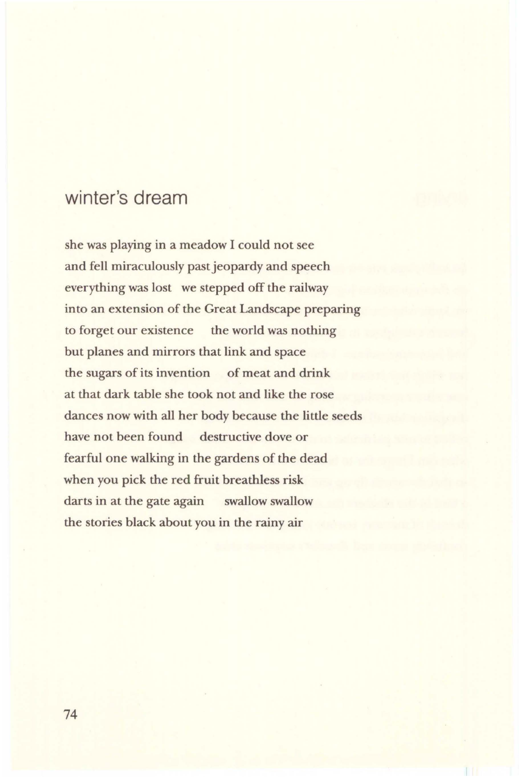## winter's dream

she was playing in a meadow I could not see and fell miraculously past jeopardy and speech everything was lost we stepped off the railway into an extension of the Great Landscape preparing to forget our existence the world was nothing but planes and mirrors that link and space the sugars of its invention of meat and drink at that dark table she took not and like the rose dances now with all her body because the little seeds have not been found destructive dove or fearful one walking in the gardens of the dead when you pick the red fruit breathless risk darts in at the gate again swallow swallow the stories black about you in the rainy air